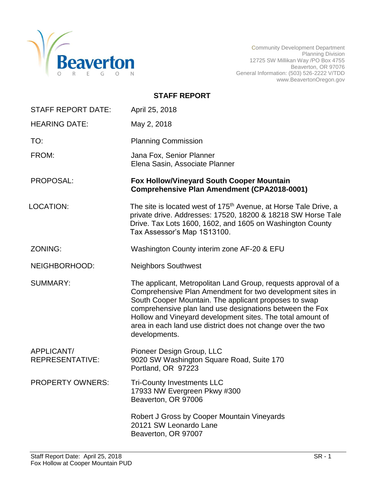

Community Development Department Planning Division 12725 SW Millikan Way /PO Box 4755 Beaverton, OR 97076 General Information: (503) 526-2222 V/TDD www.BeavertonOregon.gov

| <b>STAFF REPORT</b> |
|---------------------|
|---------------------|

| <b>STAFF REPORT DATE:</b>            | April 25, 2018                                                                                                                                                                                                                                                                                                                                                                                 |
|--------------------------------------|------------------------------------------------------------------------------------------------------------------------------------------------------------------------------------------------------------------------------------------------------------------------------------------------------------------------------------------------------------------------------------------------|
| <b>HEARING DATE:</b>                 | May 2, 2018                                                                                                                                                                                                                                                                                                                                                                                    |
| TO:                                  | <b>Planning Commission</b>                                                                                                                                                                                                                                                                                                                                                                     |
| FROM:                                | Jana Fox, Senior Planner<br>Elena Sasin, Associate Planner                                                                                                                                                                                                                                                                                                                                     |
| PROPOSAL:                            | <b>Fox Hollow/Vineyard South Cooper Mountain</b><br><b>Comprehensive Plan Amendment (CPA2018-0001)</b>                                                                                                                                                                                                                                                                                         |
| <b>LOCATION:</b>                     | The site is located west of 175 <sup>th</sup> Avenue, at Horse Tale Drive, a<br>private drive. Addresses: 17520, 18200 & 18218 SW Horse Tale<br>Drive. Tax Lots 1600, 1602, and 1605 on Washington County<br>Tax Assessor's Map 1S13100.                                                                                                                                                       |
| ZONING:                              | Washington County interim zone AF-20 & EFU                                                                                                                                                                                                                                                                                                                                                     |
| NEIGHBORHOOD:                        | <b>Neighbors Southwest</b>                                                                                                                                                                                                                                                                                                                                                                     |
| <b>SUMMARY:</b>                      | The applicant, Metropolitan Land Group, requests approval of a<br>Comprehensive Plan Amendment for two development sites in<br>South Cooper Mountain. The applicant proposes to swap<br>comprehensive plan land use designations between the Fox<br>Hollow and Vineyard development sites. The total amount of<br>area in each land use district does not change over the two<br>developments. |
| APPLICANT/<br><b>REPRESENTATIVE:</b> | Pioneer Design Group, LLC<br>9020 SW Washington Square Road, Suite 170<br>Portland, OR 97223                                                                                                                                                                                                                                                                                                   |
| <b>PROPERTY OWNERS:</b>              | <b>Tri-County Investments LLC</b><br>17933 NW Evergreen Pkwy #300<br>Beaverton, OR 97006                                                                                                                                                                                                                                                                                                       |
|                                      | Robert J Gross by Cooper Mountain Vineyards<br>20121 SW Leonardo Lane<br>Beaverton, OR 97007                                                                                                                                                                                                                                                                                                   |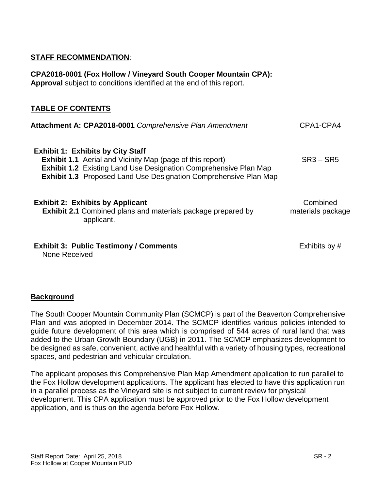## **STAFF RECOMMENDATION**:

**Approval** subject to conditions identified at the end of this report. **TABLE OF CONTENTS Attachment A: CPA2018-0001** *Comprehensive Plan Amendment* CPA1-CPA4 **Exhibit 1: Exhibits by City Staff Exhibit 1.1** Aerial and Vicinity Map (page of this report) **Exhibit 1.2** Existing Land Use Designation Comprehensive Plan Map **Exhibit 1.3** Proposed Land Use Designation Comprehensive Plan Map SR3 – SR5 **Exhibit 2: Exhibits by Applicant Exhibit 2.1** Combined plans and materials package prepared by applicant. Combined materials package **Exhibit 3: Public Testimony / Comments** None Received Exhibits by #

**CPA2018-0001 (Fox Hollow / Vineyard South Cooper Mountain CPA):** 

# **Background**

The South Cooper Mountain Community Plan (SCMCP) is part of the Beaverton Comprehensive Plan and was adopted in December 2014. The SCMCP identifies various policies intended to guide future development of this area which is comprised of 544 acres of rural land that was added to the Urban Growth Boundary (UGB) in 2011. The SCMCP emphasizes development to be designed as safe, convenient, active and healthful with a variety of housing types, recreational spaces, and pedestrian and vehicular circulation.

The applicant proposes this Comprehensive Plan Map Amendment application to run parallel to the Fox Hollow development applications. The applicant has elected to have this application run in a parallel process as the Vineyard site is not subject to current review for physical development. This CPA application must be approved prior to the Fox Hollow development application, and is thus on the agenda before Fox Hollow.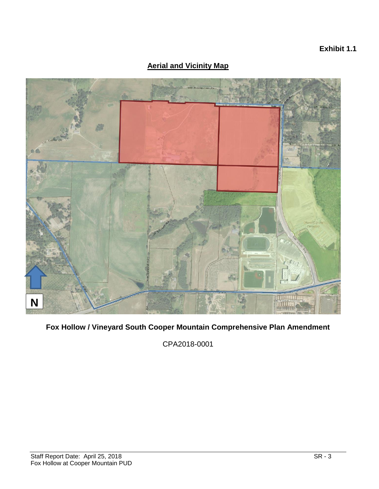## **Exhibit 1.1**

## **Aerial and Vicinity Map**



**Fox Hollow / Vineyard South Cooper Mountain Comprehensive Plan Amendment**

CPA2018-0001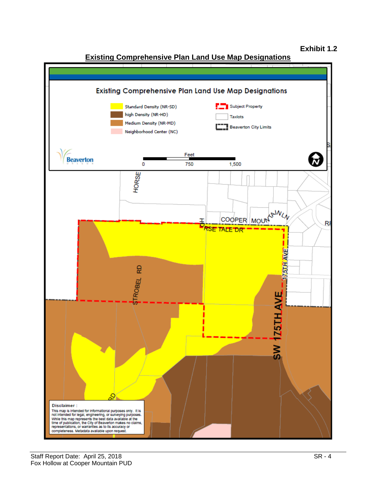## **Exhibit 1.2**



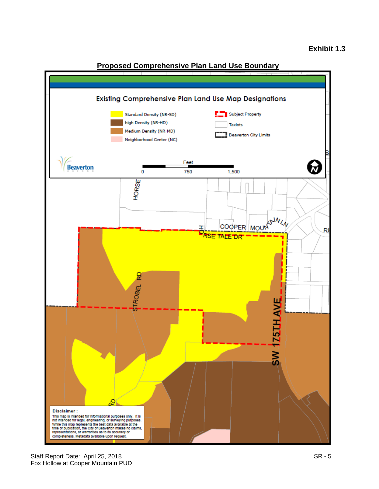

## **Proposed Comprehensive Plan Land Use Boundary**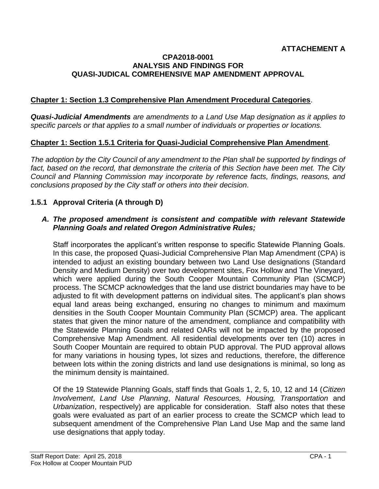#### **CPA2018-0001 ANALYSIS AND FINDINGS FOR QUASI-JUDICAL COMREHENSIVE MAP AMENDMENT APPROVAL**

## **Chapter 1: Section 1.3 Comprehensive Plan Amendment Procedural Categories**.

*Quasi-Judicial Amendments are amendments to a Land Use Map designation as it applies to specific parcels or that applies to a small number of individuals or properties or locations.*

#### **Chapter 1: Section 1.5.1 Criteria for Quasi-Judicial Comprehensive Plan Amendment**.

*The adoption by the City Council of any amendment to the Plan shall be supported by findings of*  fact, based on the record, that demonstrate the criteria of this Section have been met. The City *Council and Planning Commission may incorporate by reference facts, findings, reasons, and conclusions proposed by the City staff or others into their decision.*

#### **1.5.1 Approval Criteria (A through D)**

#### *A. The proposed amendment is consistent and compatible with relevant Statewide Planning Goals and related Oregon Administrative Rules;*

Staff incorporates the applicant's written response to specific Statewide Planning Goals. In this case, the proposed Quasi-Judicial Comprehensive Plan Map Amendment (CPA) is intended to adjust an existing boundary between two Land Use designations (Standard Density and Medium Density) over two development sites, Fox Hollow and The Vineyard, which were applied during the South Cooper Mountain Community Plan (SCMCP) process. The SCMCP acknowledges that the land use district boundaries may have to be adjusted to fit with development patterns on individual sites. The applicant's plan shows equal land areas being exchanged, ensuring no changes to minimum and maximum densities in the South Cooper Mountain Community Plan (SCMCP) area. The applicant states that given the minor nature of the amendment, compliance and compatibility with the Statewide Planning Goals and related OARs will not be impacted by the proposed Comprehensive Map Amendment. All residential developments over ten (10) acres in South Cooper Mountain are required to obtain PUD approval. The PUD approval allows for many variations in housing types, lot sizes and reductions, therefore, the difference between lots within the zoning districts and land use designations is minimal, so long as the minimum density is maintained.

Of the 19 Statewide Planning Goals, staff finds that Goals 1, 2, 5, 10, 12 and 14 (*Citizen Involvement*, *Land Use Planning*, *Natural Resources, Housing, Transportation* and *Urbanization*, respectively) are applicable for consideration. Staff also notes that these goals were evaluated as part of an earlier process to create the SCMCP which lead to subsequent amendment of the Comprehensive Plan Land Use Map and the same land use designations that apply today.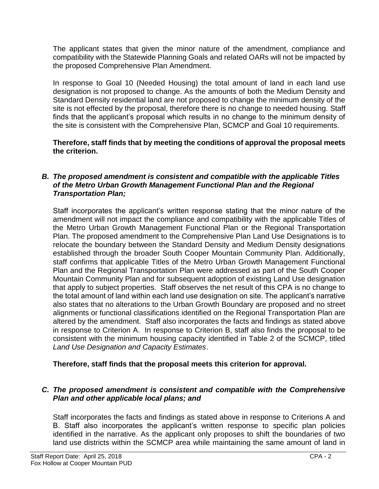The applicant states that given the minor nature of the amendment, compliance and compatibility with the Statewide Planning Goals and related OARs will not be impacted by the proposed Comprehensive Plan Amendment.

In response to Goal 10 (Needed Housing) the total amount of land in each land use designation is not proposed to change. As the amounts of both the Medium Density and Standard Density residential land are not proposed to change the minimum density of the site is not effected by the proposal, therefore there is no change to needed housing. Staff finds that the applicant's proposal which results in no change to the minimum density of the site is consistent with the Comprehensive Plan, SCMCP and Goal 10 requirements.

## **Therefore, staff finds that by meeting the conditions of approval the proposal meets the criterion.**

#### *B. The proposed amendment is consistent and compatible with the applicable Titles of the Metro Urban Growth Management Functional Plan and the Regional Transportation Plan;*

Staff incorporates the applicant's written response stating that the minor nature of the amendment will not impact the compliance and compatibility with the applicable Titles of the Metro Urban Growth Management Functional Plan or the Regional Transportation Plan. The proposed amendment to the Comprehensive Plan Land Use Designations is to relocate the boundary between the Standard Density and Medium Density designations established through the broader South Cooper Mountain Community Plan. Additionally, staff confirms that applicable Titles of the Metro Urban Growth Management Functional Plan and the Regional Transportation Plan were addressed as part of the South Cooper Mountain Community Plan and for subsequent adoption of existing Land Use designation that apply to subject properties. Staff observes the net result of this CPA is no change to the total amount of land within each land use designation on site. The applicant's narrative also states that no alterations to the Urban Growth Boundary are proposed and no street alignments or functional classifications identified on the Regional Transportation Plan are altered by the amendment. Staff also incorporates the facts and findings as stated above in response to Criterion A.In response to Criterion B, staff also finds the proposal to be consistent with the minimum housing capacity identified in Table 2 of the SCMCP, titled *Land Use Designation and Capacity Estimates*.

## **Therefore, staff finds that the proposal meets this criterion for approval.**

## *C. The proposed amendment is consistent and compatible with the Comprehensive Plan and other applicable local plans; and*

Staff incorporates the facts and findings as stated above in response to Criterions A and B. Staff also incorporates the applicant's written response to specific plan policies identified in the narrative. As the applicant only proposes to shift the boundaries of two land use districts within the SCMCP area while maintaining the same amount of land in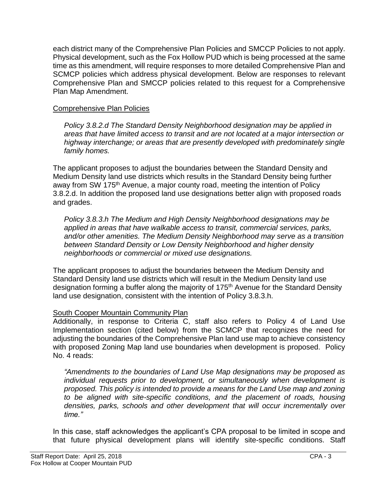each district many of the Comprehensive Plan Policies and SMCCP Policies to not apply. Physical development, such as the Fox Hollow PUD which is being processed at the same time as this amendment, will require responses to more detailed Comprehensive Plan and SCMCP policies which address physical development. Below are responses to relevant Comprehensive Plan and SMCCP policies related to this request for a Comprehensive Plan Map Amendment.

#### Comprehensive Plan Policies

*Policy 3.8.2.d The Standard Density Neighborhood designation may be applied in areas that have limited access to transit and are not located at a major intersection or highway interchange; or areas that are presently developed with predominately single family homes.*

The applicant proposes to adjust the boundaries between the Standard Density and Medium Density land use districts which results in the Standard Density being further away from SW 175<sup>th</sup> Avenue, a major county road, meeting the intention of Policy 3.8.2.d. In addition the proposed land use designations better align with proposed roads and grades.

*Policy 3.8.3.h The Medium and High Density Neighborhood designations may be applied in areas that have walkable access to transit, commercial services, parks, and/or other amenities. The Medium Density Neighborhood may serve as a transition between Standard Density or Low Density Neighborhood and higher density neighborhoods or commercial or mixed use designations.*

The applicant proposes to adjust the boundaries between the Medium Density and Standard Density land use districts which will result in the Medium Density land use designation forming a buffer along the majority of 175<sup>th</sup> Avenue for the Standard Density land use designation, consistent with the intention of Policy 3.8.3.h.

#### South Cooper Mountain Community Plan

Additionally, in response to Criteria C, staff also refers to Policy 4 of Land Use Implementation section (cited below) from the SCMCP that recognizes the need for adjusting the boundaries of the Comprehensive Plan land use map to achieve consistency with proposed Zoning Map land use boundaries when development is proposed. Policy No. 4 reads:

*"Amendments to the boundaries of Land Use Map designations may be proposed as individual requests prior to development, or simultaneously when development is proposed. This policy is intended to provide a means for the Land Use map and zoning to be aligned with site-specific conditions, and the placement of roads, housing densities, parks, schools and other development that will occur incrementally over time."*

In this case, staff acknowledges the applicant's CPA proposal to be limited in scope and that future physical development plans will identify site-specific conditions. Staff